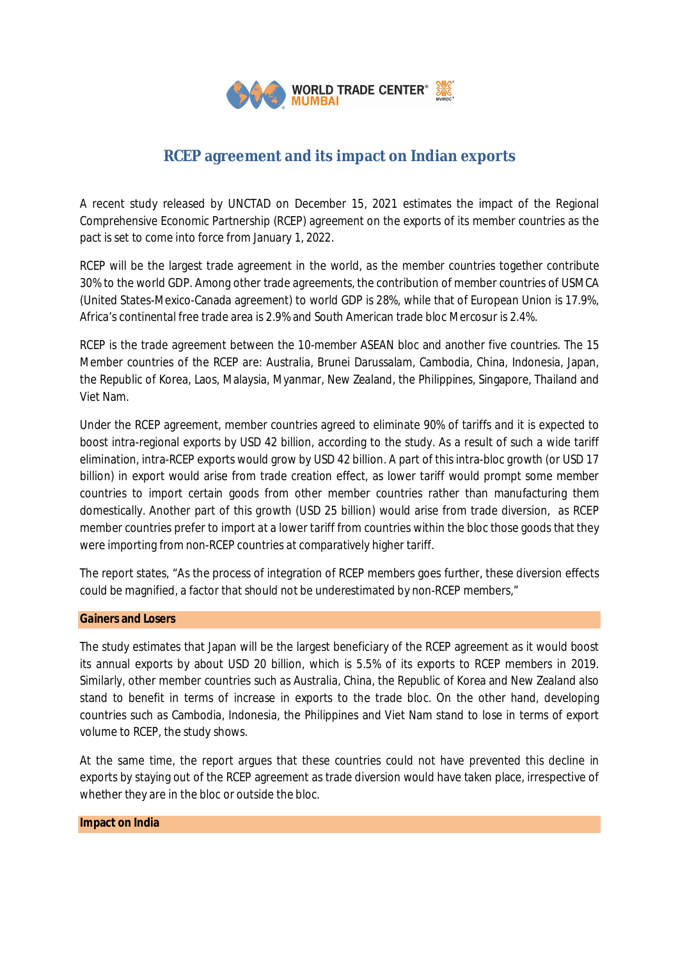

# **RCEP agreement and its impact on Indian exports**

A recent study released by UNCTAD on December 15, 2021 estimates the impact of the Regional Comprehensive Economic Partnership (RCEP) agreement on the exports of its member countries as the pact is set to come into force from January 1, 2022.

RCEP will be the largest trade agreement in the world, as the member countries together contribute 30% to the world GDP. Among other trade agreements, the contribution of member countries of USMCA (United States-Mexico-Canada agreement) to world GDP is 28%, while that of European Union is 17.9%, Africa's continental free trade area is 2.9% and South American trade bloc Mercosur is 2.4%.

RCEP is the trade agreement between the 10-member ASEAN bloc and another five countries. The 15 Member countries of the RCEP are: Australia, Brunei Darussalam, Cambodia, China, Indonesia, Japan, the Republic of Korea, Laos, Malaysia, Myanmar, New Zealand, the Philippines, Singapore, Thailand and Viet Nam.

Under the RCEP agreement, member countries agreed to eliminate 90% of tariffs and it is expected to boost intra-regional exports by USD 42 billion, according to the study. As a result of such a wide tariff elimination, intra-RCEP exports would grow by USD 42 billion. A part of this intra-bloc growth (or USD 17 billion) in export would arise from trade creation effect, as lower tariff would prompt some member countries to import certain goods from other member countries rather than manufacturing them domestically. Another part of this growth (USD 25 billion) would arise from trade diversion, as RCEP member countries prefer to import at a lower tariff from countries within the bloc those goods that they were importing from non-RCEP countries at comparatively higher tariff.

The report states, "As the process of integration of RCEP members goes further, these diversion effects could be magnified, a factor that should not be underestimated by non-RCEP members,"

# **Gainers and Losers**

The study estimates that Japan will be the largest beneficiary of the RCEP agreement as it would boost its annual exports by about USD 20 billion, which is 5.5% of its exports to RCEP members in 2019. Similarly, other member countries such as Australia, China, the Republic of Korea and New Zealand also stand to benefit in terms of increase in exports to the trade bloc. On the other hand, developing countries such as Cambodia, Indonesia, the Philippines and Viet Nam stand to lose in terms of export volume to RCEP, the study shows.

At the same time, the report argues that these countries could not have prevented this decline in exports by staying out of the RCEP agreement as trade diversion would have taken place, irrespective of whether they are in the bloc or outside the bloc.

### **Impact on India**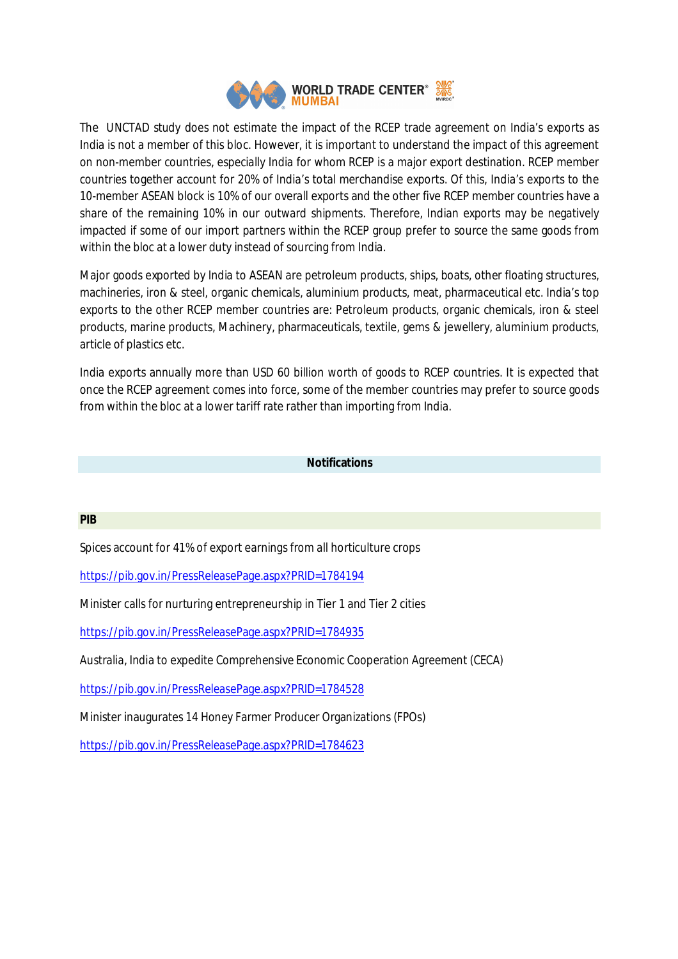

The UNCTAD study does not estimate the impact of the RCEP trade agreement on India's exports as India is not a member of this bloc. However, it is important to understand the impact of this agreement on non-member countries, especially India for whom RCEP is a major export destination. RCEP member countries together account for 20% of India's total merchandise exports. Of this, India's exports to the 10-member ASEAN block is 10% of our overall exports and the other five RCEP member countries have a share of the remaining 10% in our outward shipments. Therefore, Indian exports may be negatively impacted if some of our import partners within the RCEP group prefer to source the same goods from within the bloc at a lower duty instead of sourcing from India.

Major goods exported by India to ASEAN are petroleum products, ships, boats, other floating structures, machineries, iron & steel, organic chemicals, aluminium products, meat, pharmaceutical etc. India's top exports to the other RCEP member countries are: Petroleum products, organic chemicals, iron & steel products, marine products, Machinery, pharmaceuticals, textile, gems & jewellery, aluminium products, article of plastics etc.

India exports annually more than USD 60 billion worth of goods to RCEP countries. It is expected that once the RCEP agreement comes into force, some of the member countries may prefer to source goods from within the bloc at a lower tariff rate rather than importing from India.

# **Notifications**

### **PIB**

Spices account for 41% of export earnings from all horticulture crops

https://pib.gov.in/PressReleasePage.aspx?PRID=1784194

Minister calls for nurturing entrepreneurship in Tier 1 and Tier 2 cities

https://pib.gov.in/PressReleasePage.aspx?PRID=1784935

Australia, India to expedite Comprehensive Economic Cooperation Agreement (CECA)

https://pib.gov.in/PressReleasePage.aspx?PRID=1784528

Minister inaugurates 14 Honey Farmer Producer Organizations (FPOs)

https://pib.gov.in/PressReleasePage.aspx?PRID=1784623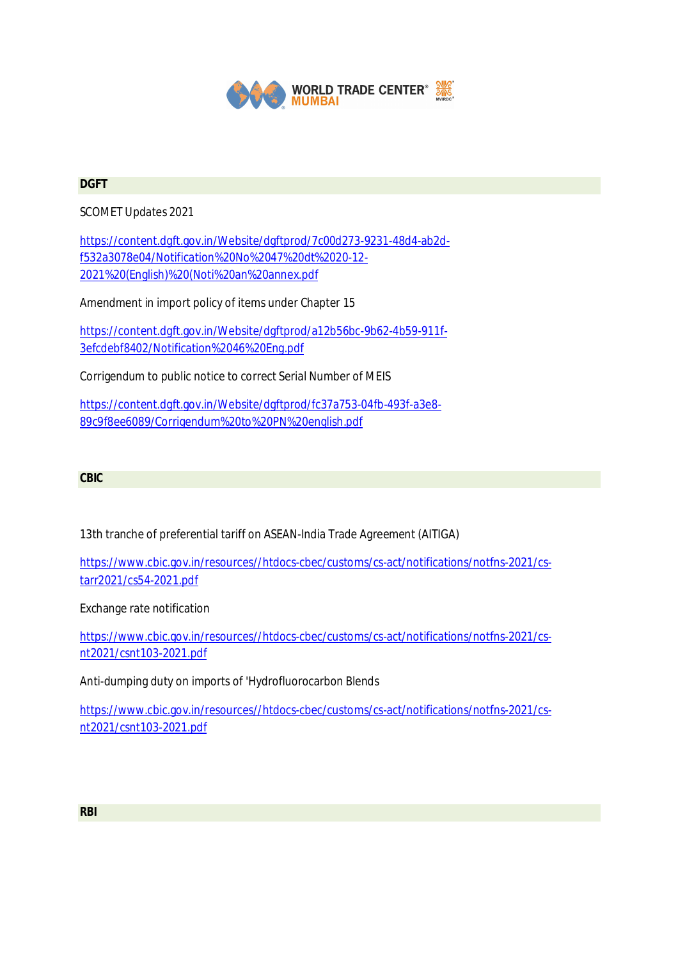

## **DGFT**

SCOMET Updates 2021

https://content.dgft.gov.in/Website/dgftprod/7c00d273-9231-48d4-ab2df532a3078e04/Notification%20No%2047%20dt%2020-12- 2021%20(English)%20(Noti%20an%20annex.pdf

Amendment in import policy of items under Chapter 15

https://content.dgft.gov.in/Website/dgftprod/a12b56bc-9b62-4b59-911f-3efcdebf8402/Notification%2046%20Eng.pdf

Corrigendum to public notice to correct Serial Number of MEIS

https://content.dgft.gov.in/Website/dgftprod/fc37a753-04fb-493f-a3e8- 89c9f8ee6089/Corrigendum%20to%20PN%20english.pdf

## **CBIC**

13th tranche of preferential tariff on ASEAN-India Trade Agreement (AITIGA)

https://www.cbic.gov.in/resources//htdocs-cbec/customs/cs-act/notifications/notfns-2021/cstarr2021/cs54-2021.pdf

Exchange rate notification

https://www.cbic.gov.in/resources//htdocs-cbec/customs/cs-act/notifications/notfns-2021/csnt2021/csnt103-2021.pdf

Anti-dumping duty on imports of 'Hydrofluorocarbon Blends

https://www.cbic.gov.in/resources//htdocs-cbec/customs/cs-act/notifications/notfns-2021/csnt2021/csnt103-2021.pdf